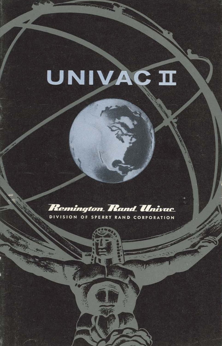# UNIVAC II

### **Remington Rand Univac**

DIVISION OF SPERRY RAND CORPORATION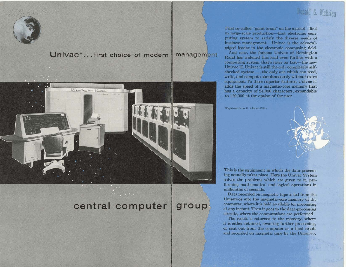## Donald G. McBrien

Univac\*... first choice of modern management



#### central computer group

First so-called "giant brain" on the market-first in large-scale production-first electronic computing system to satisfy the diverse needs of business management-Univac is the acknowledged leader in the electronic computing field.

And now, the famous Univac of Remington Rand has widened this lead even further with a computing system that's *twice* as fast-the new<br>Univac II, Univac is still the *only* completely selfchecked system . . . the only one which can read, write, and compute simultaneously without extra equipment. To these superior features, Univac II<br>adds the speed of a magnetic-core memory that has a capacity of 24,000 characters, expandable to 120,000 at the option of the user.

\*Registered in the U.S. Patent Office



This is the equipment in which the data-processing actually takes place. Here the Univ solves the problems which are given to it, performing mathematical and logical ope millionths of seconds.

Data recorded on magnetic tape is fed Uniservos into the magnetic-core memory of the computer, where it is held available for processing at any instant. Then it goes to the data-pro circuits, where the computations are perfo

The result is returned to the memory, where it is either retained, awaiting further proce or sent out from the computer as a final result and recorded on magnetic tape by the Uniservo.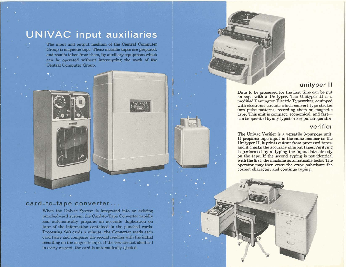# **IUNIVAC input all Xiliaries**<br>
The input and output medium of the Central Computer<br>
Group is magnetic tape. These metallic tapes are prepared.

and results taken from them, by auxiliary equipment which can be operated without interrupting the work of the Central Computer Group.

#### card-to-tape converter...

When the Univac System is integrated into an existing punched-card system, the Card-to-Tape Converter rapidly and automatically prepares an accurate duplication on tape of the information contained in the punched cards. Processing 240 cards a minute, the Converter reads **each**  card twice and compares the second reading with the initial recording on the magnetic tape. If the two are not identical in every respect, the card is automatically ejected.

#### **unityper II**

Data to be processed for the first time **can** be put on tape with a Unityper. The Unityper **I1** is a modified Remington Electric Typewriter, equipped with electronic circuits which convert type strokes into pulse patterns, recording them on magnetic tape. This unit is compact, economical, and fastcan be operated by any typist or keypunchoperator.

I

#### **verifier**

The Univac Verifier is a versatile 3-purpose unit. It prepares tape input in the same manner as the Unityper **11,** it prints output from processed tapes, and it **checks**the accuracy of input tapes.Verifying is performed by re-typing the input data already on the tape. If the second typing is not identical with the first, the machine automatically locks. The operator may then erase the error, substitute the correct character, and continue typing.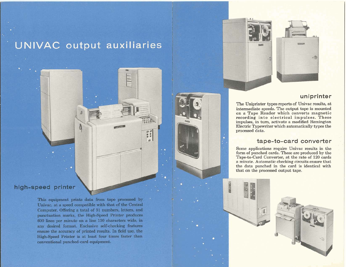## **UNIVAC** output auxiliaries

With

 $50$ 

#### high-speed printer

This equipment prints data from tape processed by Univac, at a speed compatible with that of the Central Computer. Offering a total of 51 numbers, letters, and punctuation marks, the High-Speed Printer produces 600 lines per minute on a line 130 characters wide, in any desired format. Exclusive self-checking features ensure the accuracy of printed results. In field use, the High-Speed Printer is at least four times faster than conventional punched-card equipment.



#### **uniprinter**

The Uniprinter types reports of Univac results, at intermediate speeds. The output tape is mounted on a Tape Reader which converts magnetic recording into electrical impulses. These impulses, in turn, activate a modified Remington Electric Typewriter which automatically types the processed data.

#### **tape-to-card converter**

Some applications require Univac results in the form of punched cards. These are produced by the Tape-to-Card Converter, at the rate of 120 cards a minute. Automatic checking circuits ensure that the data punched in the card is identical with that on the processed output tape.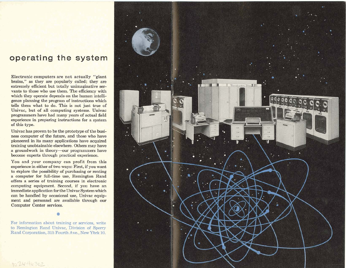### **operating the system**

Electronic computers are not actually "giant brains," as they are popularly called; they are extremely efficient but totally unimaginative servants to those who use them. The efficiency with which they operate depends on the human intelligence planning the program of instructions which tells them what to do. **This** is not just true of Univac, but of all computing systems. Univac programmers have had many years of actual field experience in preparing instructions for a system of this type.

Univac has proven to be the prototype of the business computer of the future, and those who have pioneered in its many applications have acquired training unobtainable elsewhere. Others may have a groundwork in theory-our programmers have become experts through practical experience.

You and your company can profit from this experience in either of two ways: First, if you want to explore the possibility of purchasing or renting a computer for full-time use, Remington Rand offers a series of training courses in electronic computing equipment. Second, if you have an immediate application for the Univac System which can be handled by occasional use, Univac equipment and personnel are available through our Computer Center services.

For information about *training* or services, write to Remington Rand Univac, Division of Sperry Rand Corporation, 315 Fourth Ave., New York 10.

10244630